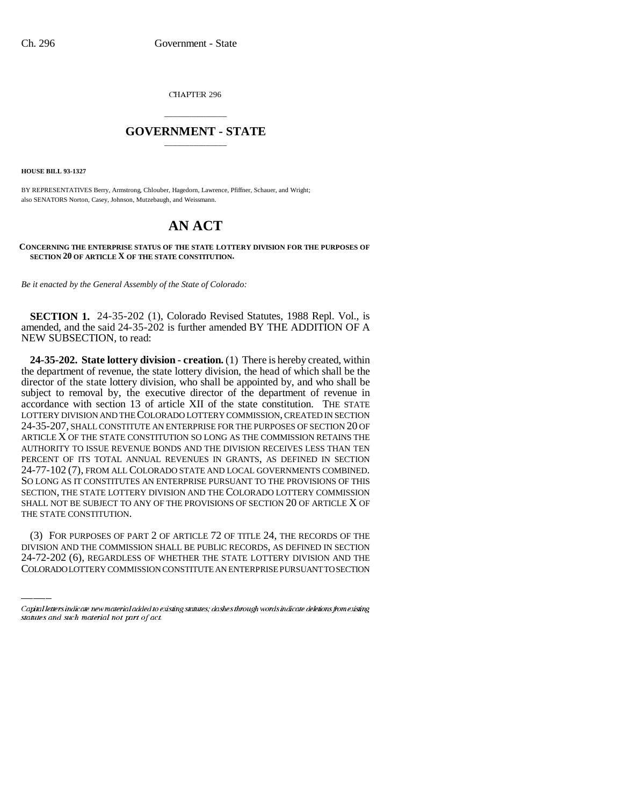CHAPTER 296

# \_\_\_\_\_\_\_\_\_\_\_\_\_\_\_ **GOVERNMENT - STATE** \_\_\_\_\_\_\_\_\_\_\_\_\_\_\_

**HOUSE BILL 93-1327**

BY REPRESENTATIVES Berry, Armstrong, Chlouber, Hagedorn, Lawrence, Pfiffner, Schauer, and Wright; also SENATORS Norton, Casey, Johnson, Mutzebaugh, and Weissmann.

# **AN ACT**

#### **CONCERNING THE ENTERPRISE STATUS OF THE STATE LOTTERY DIVISION FOR THE PURPOSES OF SECTION 20 OF ARTICLE X OF THE STATE CONSTITUTION.**

*Be it enacted by the General Assembly of the State of Colorado:*

**SECTION 1.** 24-35-202 (1), Colorado Revised Statutes, 1988 Repl. Vol., is amended, and the said 24-35-202 is further amended BY THE ADDITION OF A NEW SUBSECTION, to read:

THE STATE CONSTITUTION. **24-35-202. State lottery division - creation.** (1) There is hereby created, within the department of revenue, the state lottery division, the head of which shall be the director of the state lottery division, who shall be appointed by, and who shall be subject to removal by, the executive director of the department of revenue in accordance with section 13 of article XII of the state constitution. THE STATE LOTTERY DIVISION AND THE COLORADO LOTTERY COMMISSION, CREATED IN SECTION 24-35-207, SHALL CONSTITUTE AN ENTERPRISE FOR THE PURPOSES OF SECTION 20 OF ARTICLE X OF THE STATE CONSTITUTION SO LONG AS THE COMMISSION RETAINS THE AUTHORITY TO ISSUE REVENUE BONDS AND THE DIVISION RECEIVES LESS THAN TEN PERCENT OF ITS TOTAL ANNUAL REVENUES IN GRANTS, AS DEFINED IN SECTION 24-77-102 (7), FROM ALL COLORADO STATE AND LOCAL GOVERNMENTS COMBINED. SO LONG AS IT CONSTITUTES AN ENTERPRISE PURSUANT TO THE PROVISIONS OF THIS SECTION, THE STATE LOTTERY DIVISION AND THE COLORADO LOTTERY COMMISSION SHALL NOT BE SUBJECT TO ANY OF THE PROVISIONS OF SECTION 20 OF ARTICLE X OF

(3) FOR PURPOSES OF PART 2 OF ARTICLE 72 OF TITLE 24, THE RECORDS OF THE DIVISION AND THE COMMISSION SHALL BE PUBLIC RECORDS, AS DEFINED IN SECTION 24-72-202 (6), REGARDLESS OF WHETHER THE STATE LOTTERY DIVISION AND THE COLORADO LOTTERY COMMISSION CONSTITUTE AN ENTERPRISE PURSUANT TO SECTION

Capital letters indicate new material added to existing statutes; dashes through words indicate deletions from existing statutes and such material not part of act.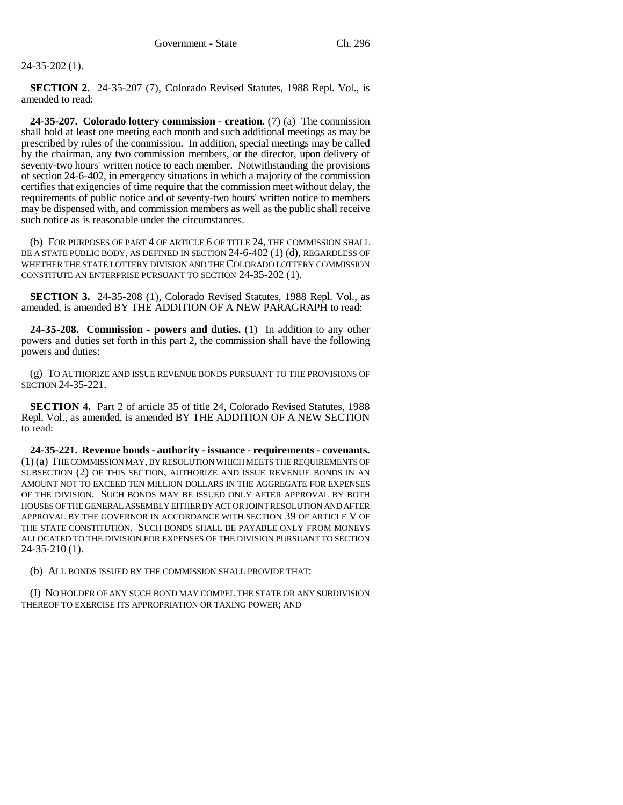## 24-35-202 (1).

**SECTION 2.** 24-35-207 (7), Colorado Revised Statutes, 1988 Repl. Vol., is amended to read:

**24-35-207. Colorado lottery commission - creation.** (7) (a) The commission shall hold at least one meeting each month and such additional meetings as may be prescribed by rules of the commission. In addition, special meetings may be called by the chairman, any two commission members, or the director, upon delivery of seventy-two hours' written notice to each member. Notwithstanding the provisions of section 24-6-402, in emergency situations in which a majority of the commission certifies that exigencies of time require that the commission meet without delay, the requirements of public notice and of seventy-two hours' written notice to members may be dispensed with, and commission members as well as the public shall receive such notice as is reasonable under the circumstances.

(b) FOR PURPOSES OF PART 4 OF ARTICLE 6 OF TITLE 24, THE COMMISSION SHALL BE A STATE PUBLIC BODY, AS DEFINED IN SECTION 24-6-402 (1) (d), REGARDLESS OF WHETHER THE STATE LOTTERY DIVISION AND THE COLORADO LOTTERY COMMISSION CONSTITUTE AN ENTERPRISE PURSUANT TO SECTION 24-35-202 (1).

**SECTION 3.** 24-35-208 (1), Colorado Revised Statutes, 1988 Repl. Vol., as amended, is amended BY THE ADDITION OF A NEW PARAGRAPH to read:

**24-35-208. Commission - powers and duties.** (1) In addition to any other powers and duties set forth in this part 2, the commission shall have the following powers and duties:

(g) TO AUTHORIZE AND ISSUE REVENUE BONDS PURSUANT TO THE PROVISIONS OF SECTION 24-35-221.

**SECTION 4.** Part 2 of article 35 of title 24, Colorado Revised Statutes, 1988 Repl. Vol., as amended, is amended BY THE ADDITION OF A NEW SECTION to read:

**24-35-221. Revenue bonds - authority - issuance - requirements - covenants.** (1) (a) THE COMMISSION MAY, BY RESOLUTION WHICH MEETS THE REQUIREMENTS OF SUBSECTION (2) OF THIS SECTION, AUTHORIZE AND ISSUE REVENUE BONDS IN AN AMOUNT NOT TO EXCEED TEN MILLION DOLLARS IN THE AGGREGATE FOR EXPENSES OF THE DIVISION. SUCH BONDS MAY BE ISSUED ONLY AFTER APPROVAL BY BOTH HOUSES OF THE GENERAL ASSEMBLY EITHER BY ACT OR JOINT RESOLUTION AND AFTER APPROVAL BY THE GOVERNOR IN ACCORDANCE WITH SECTION 39 OF ARTICLE V OF THE STATE CONSTITUTION. SUCH BONDS SHALL BE PAYABLE ONLY FROM MONEYS ALLOCATED TO THE DIVISION FOR EXPENSES OF THE DIVISION PURSUANT TO SECTION 24-35-210 (1).

(b) ALL BONDS ISSUED BY THE COMMISSION SHALL PROVIDE THAT:

(I) NO HOLDER OF ANY SUCH BOND MAY COMPEL THE STATE OR ANY SUBDIVISION THEREOF TO EXERCISE ITS APPROPRIATION OR TAXING POWER; AND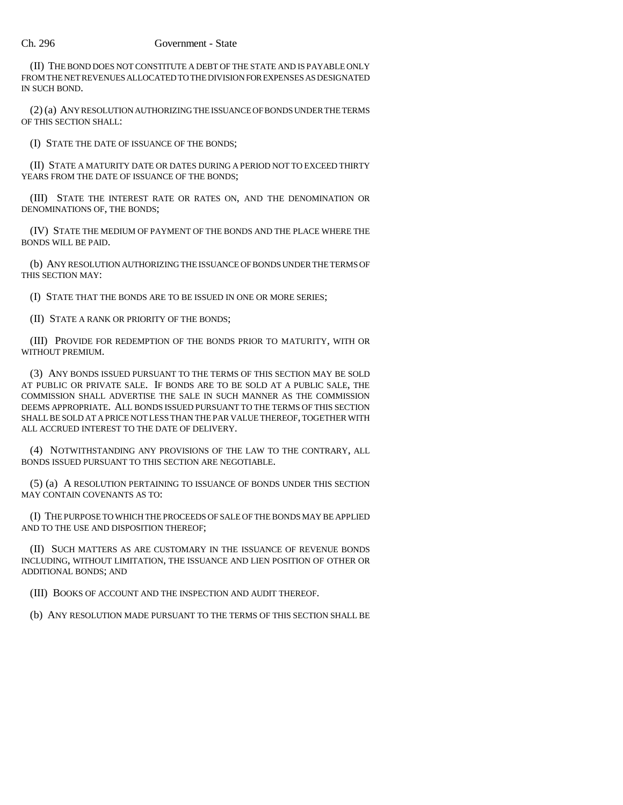### Ch. 296 Government - State

(II) THE BOND DOES NOT CONSTITUTE A DEBT OF THE STATE AND IS PAYABLE ONLY FROM THE NET REVENUES ALLOCATED TO THE DIVISION FOR EXPENSES AS DESIGNATED IN SUCH BOND.

(2) (a) ANY RESOLUTION AUTHORIZING THE ISSUANCE OF BONDS UNDER THE TERMS OF THIS SECTION SHALL:

(I) STATE THE DATE OF ISSUANCE OF THE BONDS;

(II) STATE A MATURITY DATE OR DATES DURING A PERIOD NOT TO EXCEED THIRTY YEARS FROM THE DATE OF ISSUANCE OF THE BONDS;

(III) STATE THE INTEREST RATE OR RATES ON, AND THE DENOMINATION OR DENOMINATIONS OF, THE BONDS;

(IV) STATE THE MEDIUM OF PAYMENT OF THE BONDS AND THE PLACE WHERE THE BONDS WILL BE PAID.

(b) ANY RESOLUTION AUTHORIZING THE ISSUANCE OF BONDS UNDER THE TERMS OF THIS SECTION MAY:

(I) STATE THAT THE BONDS ARE TO BE ISSUED IN ONE OR MORE SERIES;

(II) STATE A RANK OR PRIORITY OF THE BONDS;

(III) PROVIDE FOR REDEMPTION OF THE BONDS PRIOR TO MATURITY, WITH OR WITHOUT PREMIUM.

(3) ANY BONDS ISSUED PURSUANT TO THE TERMS OF THIS SECTION MAY BE SOLD AT PUBLIC OR PRIVATE SALE. IF BONDS ARE TO BE SOLD AT A PUBLIC SALE, THE COMMISSION SHALL ADVERTISE THE SALE IN SUCH MANNER AS THE COMMISSION DEEMS APPROPRIATE. ALL BONDS ISSUED PURSUANT TO THE TERMS OF THIS SECTION SHALL BE SOLD AT A PRICE NOT LESS THAN THE PAR VALUE THEREOF, TOGETHER WITH ALL ACCRUED INTEREST TO THE DATE OF DELIVERY.

(4) NOTWITHSTANDING ANY PROVISIONS OF THE LAW TO THE CONTRARY, ALL BONDS ISSUED PURSUANT TO THIS SECTION ARE NEGOTIABLE.

(5) (a) A RESOLUTION PERTAINING TO ISSUANCE OF BONDS UNDER THIS SECTION MAY CONTAIN COVENANTS AS TO:

(I) THE PURPOSE TO WHICH THE PROCEEDS OF SALE OF THE BONDS MAY BE APPLIED AND TO THE USE AND DISPOSITION THEREOF;

(II) SUCH MATTERS AS ARE CUSTOMARY IN THE ISSUANCE OF REVENUE BONDS INCLUDING, WITHOUT LIMITATION, THE ISSUANCE AND LIEN POSITION OF OTHER OR ADDITIONAL BONDS; AND

(III) BOOKS OF ACCOUNT AND THE INSPECTION AND AUDIT THEREOF.

(b) ANY RESOLUTION MADE PURSUANT TO THE TERMS OF THIS SECTION SHALL BE